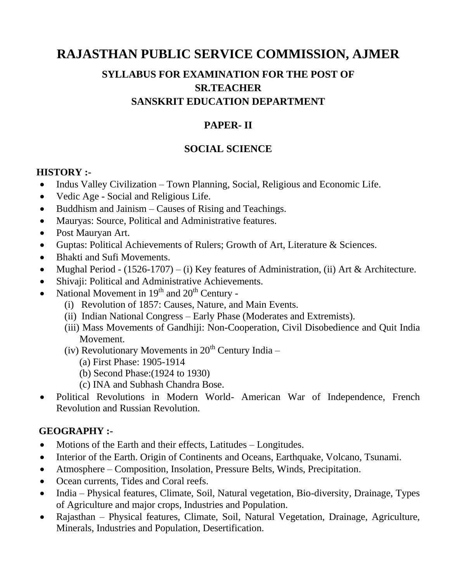# **RAJASTHAN PUBLIC SERVICE COMMISSION, AJMER**

# **SYLLABUS FOR EXAMINATION FOR THE POST OF SR.TEACHER SANSKRIT EDUCATION DEPARTMENT**

### **PAPER- II**

## **SOCIAL SCIENCE**

#### **HISTORY :-**

- Indus Valley Civilization Town Planning, Social, Religious and Economic Life.
- Vedic Age Social and Religious Life.
- Buddhism and Jainism Causes of Rising and Teachings.
- Mauryas: Source, Political and Administrative features.
- Post Mauryan Art.
- Guptas: Political Achievements of Rulers; Growth of Art, Literature & Sciences.
- Bhakti and Sufi Movements.
- Mughal Period  $(1526-1707) (i)$  Key features of Administration, (ii) Art & Architecture.
- Shivaji: Political and Administrative Achievements.
- National Movement in  $19<sup>th</sup>$  and  $20<sup>th</sup>$  Century -
	- (i) Revolution of 1857: Causes, Nature, and Main Events.
	- (ii) Indian National Congress Early Phase (Moderates and Extremists).
	- (iii) Mass Movements of Gandhiji: Non-Cooperation, Civil Disobedience and Quit India Movement.
	- (iv) Revolutionary Movements in  $20<sup>th</sup>$  Century India
		- (a) First Phase: 1905-1914
		- (b) Second Phase:(1924 to 1930)
		- (c) INA and Subhash Chandra Bose.
- Political Revolutions in Modern World- American War of Independence, French Revolution and Russian Revolution.

#### **GEOGRAPHY :-**

- Motions of the Earth and their effects, Latitudes Longitudes.
- Interior of the Earth. Origin of Continents and Oceans, Earthquake, Volcano, Tsunami.
- Atmosphere Composition, Insolation, Pressure Belts, Winds, Precipitation.
- Ocean currents, Tides and Coral reefs.
- India Physical features, Climate, Soil, Natural vegetation, Bio-diversity, Drainage, Types of Agriculture and major crops, Industries and Population.
- Rajasthan Physical features, Climate, Soil, Natural Vegetation, Drainage, Agriculture, Minerals, Industries and Population, Desertification.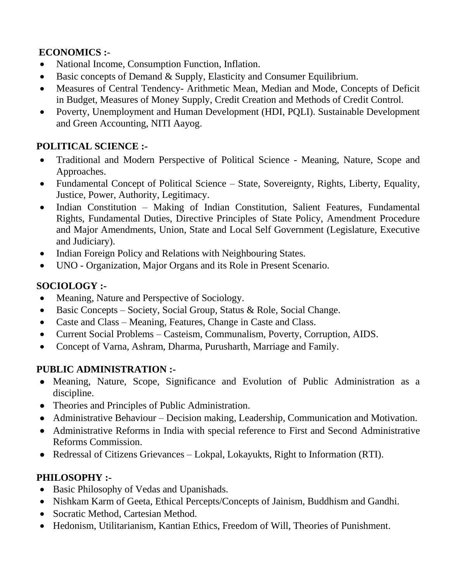# **ECONOMICS :-**

- National Income, Consumption Function, Inflation.
- Basic concepts of Demand & Supply, Elasticity and Consumer Equilibrium.
- Measures of Central Tendency- Arithmetic Mean, Median and Mode, Concepts of Deficit in Budget, Measures of Money Supply, Credit Creation and Methods of Credit Control.
- Poverty, Unemployment and Human Development (HDI, PQLI). Sustainable Development and Green Accounting, NITI Aayog.

## **POLITICAL SCIENCE :-**

- Traditional and Modern Perspective of Political Science Meaning, Nature, Scope and Approaches.
- Fundamental Concept of Political Science State, Sovereignty, Rights, Liberty, Equality, Justice, Power, Authority, Legitimacy.
- Indian Constitution Making of Indian Constitution, Salient Features, Fundamental Rights, Fundamental Duties, Directive Principles of State Policy, Amendment Procedure and Major Amendments, Union, State and Local Self Government (Legislature, Executive and Judiciary).
- Indian Foreign Policy and Relations with Neighbouring States.
- UNO Organization, Major Organs and its Role in Present Scenario.

# **SOCIOLOGY :-**

- Meaning, Nature and Perspective of Sociology.
- Basic Concepts Society, Social Group, Status & Role, Social Change.
- Caste and Class Meaning, Features, Change in Caste and Class.
- Current Social Problems Casteism, Communalism, Poverty, Corruption, AIDS.
- Concept of Varna, Ashram, Dharma, Purusharth, Marriage and Family.

#### **PUBLIC ADMINISTRATION :-**

- Meaning, Nature, Scope, Significance and Evolution of Public Administration as a discipline.
- Theories and Principles of Public Administration.
- Administrative Behaviour Decision making, Leadership, Communication and Motivation.
- Administrative Reforms in India with special reference to First and Second Administrative Reforms Commission.
- Redressal of Citizens Grievances Lokpal, Lokayukts, Right to Information (RTI).

# **PHILOSOPHY :-**

- Basic Philosophy of Vedas and Upanishads.
- Nishkam Karm of Geeta, Ethical Percepts/Concepts of Jainism, Buddhism and Gandhi.
- Socratic Method, Cartesian Method.
- Hedonism, Utilitarianism, Kantian Ethics, Freedom of Will, Theories of Punishment.